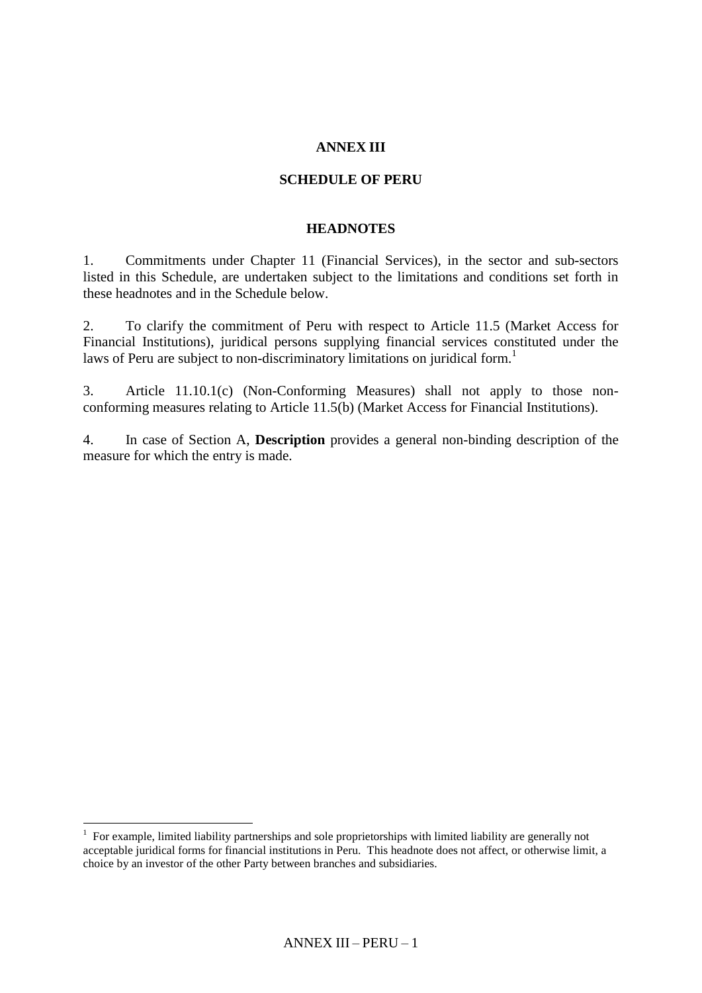### **ANNEX III**

#### **SCHEDULE OF PERU**

#### **HEADNOTES**

1. Commitments under Chapter 11 (Financial Services), in the sector and sub-sectors listed in this Schedule, are undertaken subject to the limitations and conditions set forth in these headnotes and in the Schedule below.

2. To clarify the commitment of Peru with respect to Article 11.5 (Market Access for Financial Institutions), juridical persons supplying financial services constituted under the laws of Peru are subject to non-discriminatory limitations on juridical form.<sup>1</sup>

3. Article 11.10.1(c) (Non-Conforming Measures) shall not apply to those nonconforming measures relating to Article 11.5(b) (Market Access for Financial Institutions).

4. In case of Section A, **Description** provides a general non-binding description of the measure for which the entry is made.

 $\overline{a}$ 

<sup>&</sup>lt;sup>1</sup> For example, limited liability partnerships and sole proprietorships with limited liability are generally not acceptable juridical forms for financial institutions in Peru. This headnote does not affect, or otherwise limit, a choice by an investor of the other Party between branches and subsidiaries.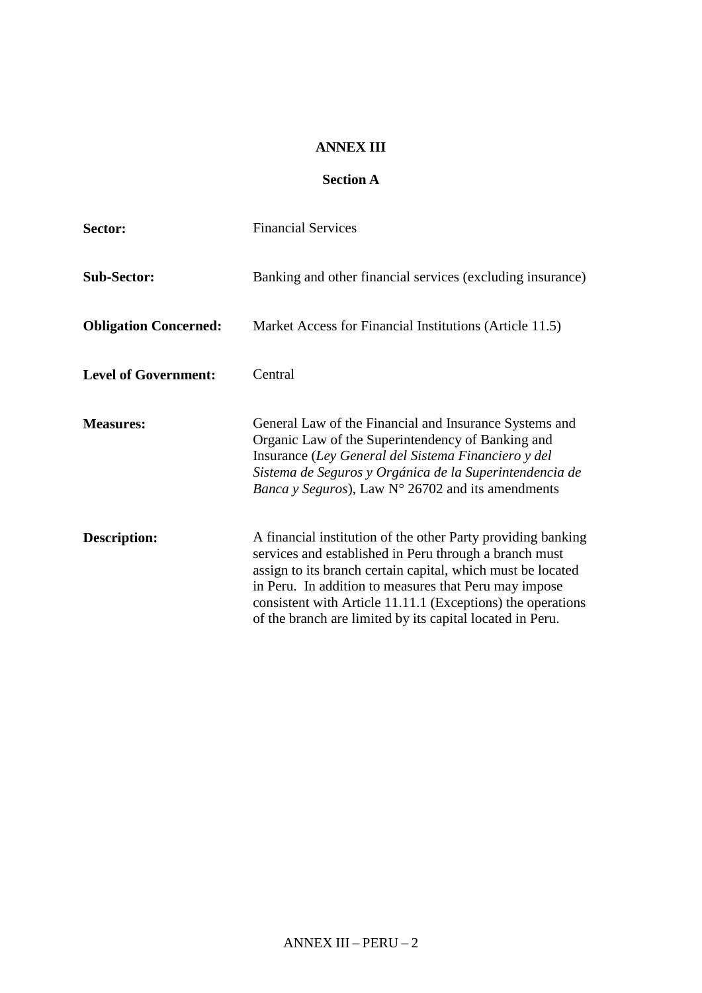### **ANNEX III**

# **Section A**

| Sector:                      | <b>Financial Services</b>                                                                                                                                                                                                                                                                                                                                                  |
|------------------------------|----------------------------------------------------------------------------------------------------------------------------------------------------------------------------------------------------------------------------------------------------------------------------------------------------------------------------------------------------------------------------|
| <b>Sub-Sector:</b>           | Banking and other financial services (excluding insurance)                                                                                                                                                                                                                                                                                                                 |
| <b>Obligation Concerned:</b> | Market Access for Financial Institutions (Article 11.5)                                                                                                                                                                                                                                                                                                                    |
| <b>Level of Government:</b>  | Central                                                                                                                                                                                                                                                                                                                                                                    |
| <b>Measures:</b>             | General Law of the Financial and Insurance Systems and<br>Organic Law of the Superintendency of Banking and<br>Insurance (Ley General del Sistema Financiero y del<br>Sistema de Seguros y Orgánica de la Superintendencia de<br><i>Banca y Seguros</i> ), Law $N^{\circ}$ 26702 and its amendments                                                                        |
| <b>Description:</b>          | A financial institution of the other Party providing banking<br>services and established in Peru through a branch must<br>assign to its branch certain capital, which must be located<br>in Peru. In addition to measures that Peru may impose<br>consistent with Article 11.11.1 (Exceptions) the operations<br>of the branch are limited by its capital located in Peru. |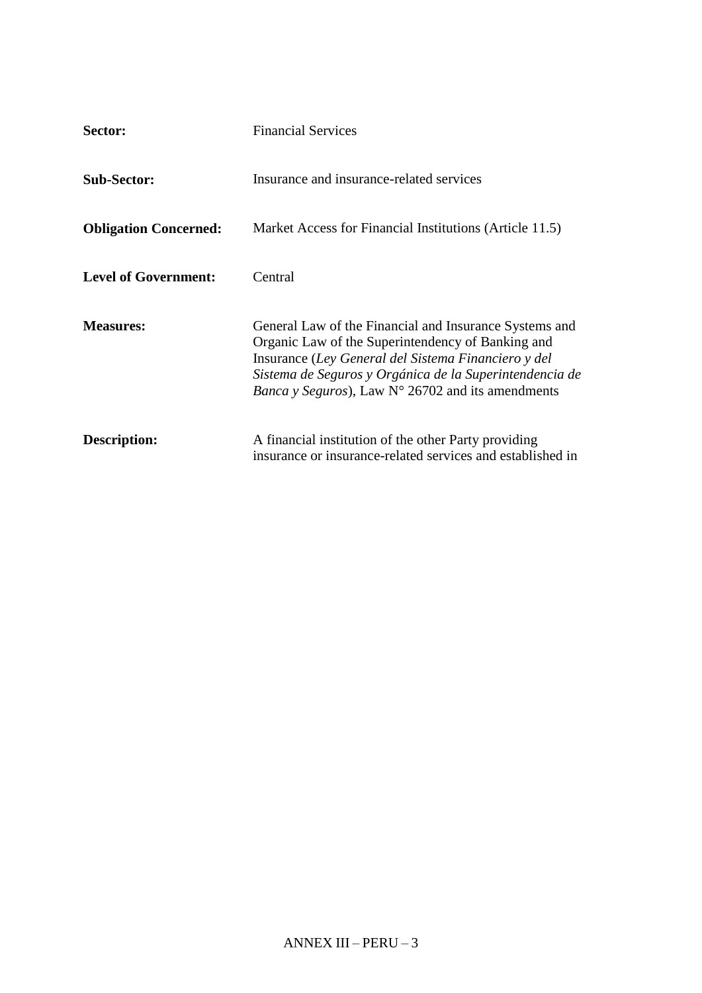| Sector:                      | <b>Financial Services</b>                                                                                                                                                                                                                                                                           |
|------------------------------|-----------------------------------------------------------------------------------------------------------------------------------------------------------------------------------------------------------------------------------------------------------------------------------------------------|
| <b>Sub-Sector:</b>           | Insurance and insurance-related services                                                                                                                                                                                                                                                            |
| <b>Obligation Concerned:</b> | Market Access for Financial Institutions (Article 11.5)                                                                                                                                                                                                                                             |
| <b>Level of Government:</b>  | Central                                                                                                                                                                                                                                                                                             |
| <b>Measures:</b>             | General Law of the Financial and Insurance Systems and<br>Organic Law of the Superintendency of Banking and<br>Insurance (Ley General del Sistema Financiero y del<br>Sistema de Seguros y Orgánica de la Superintendencia de<br><i>Banca y Seguros</i> ), Law $N^{\circ}$ 26702 and its amendments |
| Description:                 | A financial institution of the other Party providing<br>insurance or insurance-related services and established in                                                                                                                                                                                  |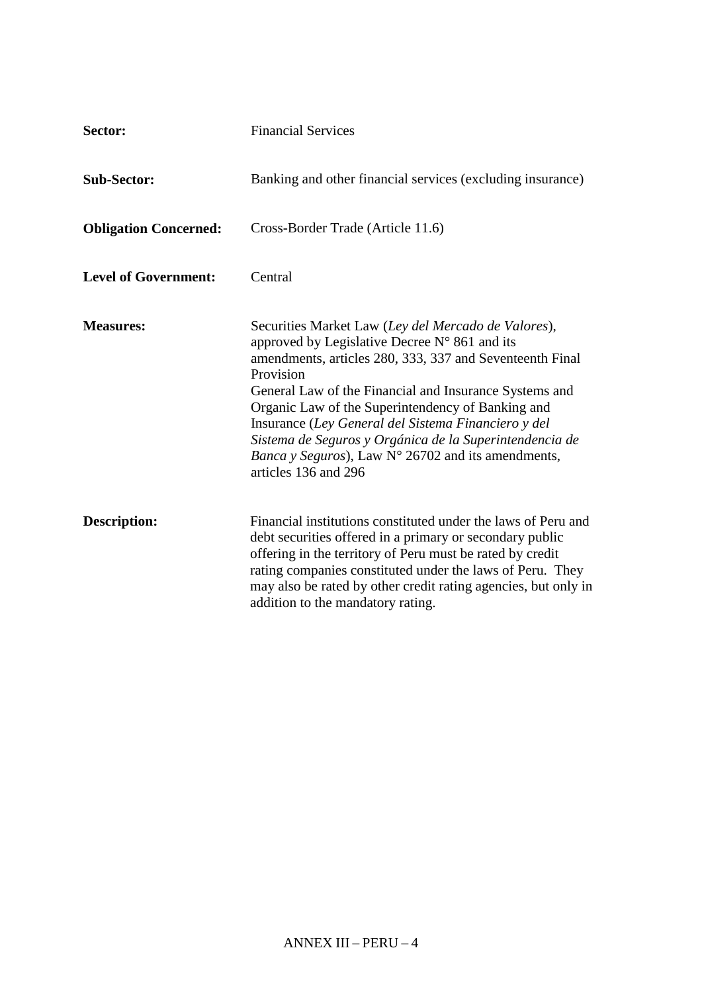| Sector:                      | <b>Financial Services</b>                                                                                                                                                                                                                                                                                                                                                                                                                                                                                              |
|------------------------------|------------------------------------------------------------------------------------------------------------------------------------------------------------------------------------------------------------------------------------------------------------------------------------------------------------------------------------------------------------------------------------------------------------------------------------------------------------------------------------------------------------------------|
| <b>Sub-Sector:</b>           | Banking and other financial services (excluding insurance)                                                                                                                                                                                                                                                                                                                                                                                                                                                             |
| <b>Obligation Concerned:</b> | Cross-Border Trade (Article 11.6)                                                                                                                                                                                                                                                                                                                                                                                                                                                                                      |
| <b>Level of Government:</b>  | Central                                                                                                                                                                                                                                                                                                                                                                                                                                                                                                                |
| <b>Measures:</b>             | Securities Market Law (Ley del Mercado de Valores),<br>approved by Legislative Decree $N^{\circ}$ 861 and its<br>amendments, articles 280, 333, 337 and Seventeenth Final<br>Provision<br>General Law of the Financial and Insurance Systems and<br>Organic Law of the Superintendency of Banking and<br>Insurance (Ley General del Sistema Financiero y del<br>Sistema de Seguros y Orgánica de la Superintendencia de<br><i>Banca y Seguros</i> ), Law $N^{\circ}$ 26702 and its amendments,<br>articles 136 and 296 |
| <b>Description:</b>          | Financial institutions constituted under the laws of Peru and<br>debt securities offered in a primary or secondary public<br>offering in the territory of Peru must be rated by credit<br>rating companies constituted under the laws of Peru. They<br>may also be rated by other credit rating agencies, but only in<br>addition to the mandatory rating.                                                                                                                                                             |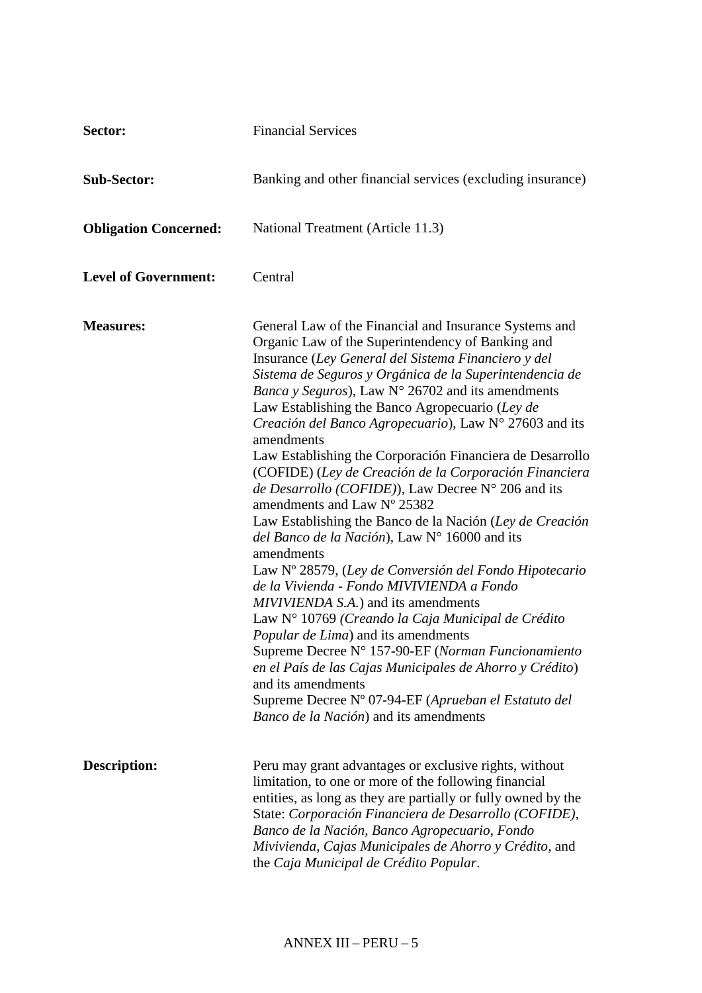| Sector:                      | <b>Financial Services</b>                                                                                                                                                                                                                                                                                                                                                                                                                                                                                                                                                                                                                                                                                                                                                                                                                                                                                                                                                                                                                                                                                                                                                                                                                          |
|------------------------------|----------------------------------------------------------------------------------------------------------------------------------------------------------------------------------------------------------------------------------------------------------------------------------------------------------------------------------------------------------------------------------------------------------------------------------------------------------------------------------------------------------------------------------------------------------------------------------------------------------------------------------------------------------------------------------------------------------------------------------------------------------------------------------------------------------------------------------------------------------------------------------------------------------------------------------------------------------------------------------------------------------------------------------------------------------------------------------------------------------------------------------------------------------------------------------------------------------------------------------------------------|
| <b>Sub-Sector:</b>           | Banking and other financial services (excluding insurance)                                                                                                                                                                                                                                                                                                                                                                                                                                                                                                                                                                                                                                                                                                                                                                                                                                                                                                                                                                                                                                                                                                                                                                                         |
| <b>Obligation Concerned:</b> | National Treatment (Article 11.3)                                                                                                                                                                                                                                                                                                                                                                                                                                                                                                                                                                                                                                                                                                                                                                                                                                                                                                                                                                                                                                                                                                                                                                                                                  |
| <b>Level of Government:</b>  | Central                                                                                                                                                                                                                                                                                                                                                                                                                                                                                                                                                                                                                                                                                                                                                                                                                                                                                                                                                                                                                                                                                                                                                                                                                                            |
| <b>Measures:</b>             | General Law of the Financial and Insurance Systems and<br>Organic Law of the Superintendency of Banking and<br>Insurance (Ley General del Sistema Financiero y del<br>Sistema de Seguros y Orgánica de la Superintendencia de<br>Banca y Seguros), Law N° 26702 and its amendments<br>Law Establishing the Banco Agropecuario (Ley de<br>Creación del Banco Agropecuario), Law Nº 27603 and its<br>amendments<br>Law Establishing the Corporación Financiera de Desarrollo<br>(COFIDE) (Ley de Creación de la Corporación Financiera<br>de Desarrollo (COFIDE)), Law Decree $N^{\circ}$ 206 and its<br>amendments and Law N° 25382<br>Law Establishing the Banco de la Nación (Ley de Creación<br>del Banco de la Nación), Law N° 16000 and its<br>amendments<br>Law Nº 28579, (Ley de Conversión del Fondo Hipotecario<br>de la Vivienda - Fondo MIVIVIENDA a Fondo<br>MIVIVIENDA S.A.) and its amendments<br>Law N° 10769 (Creando la Caja Municipal de Crédito<br>Popular de Lima) and its amendments<br>Supreme Decree N° 157-90-EF (Norman Funcionamiento<br>en el País de las Cajas Municipales de Ahorro y Crédito)<br>and its amendments<br>Supreme Decree Nº 07-94-EF (Aprueban el Estatuto del<br>Banco de la Nación) and its amendments |
| <b>Description:</b>          | Peru may grant advantages or exclusive rights, without<br>limitation, to one or more of the following financial<br>entities, as long as they are partially or fully owned by the<br>State: Corporación Financiera de Desarrollo (COFIDE),<br>Banco de la Nación, Banco Agropecuario, Fondo<br>Mivivienda, Cajas Municipales de Ahorro y Crédito, and<br>the Caja Municipal de Crédito Popular.                                                                                                                                                                                                                                                                                                                                                                                                                                                                                                                                                                                                                                                                                                                                                                                                                                                     |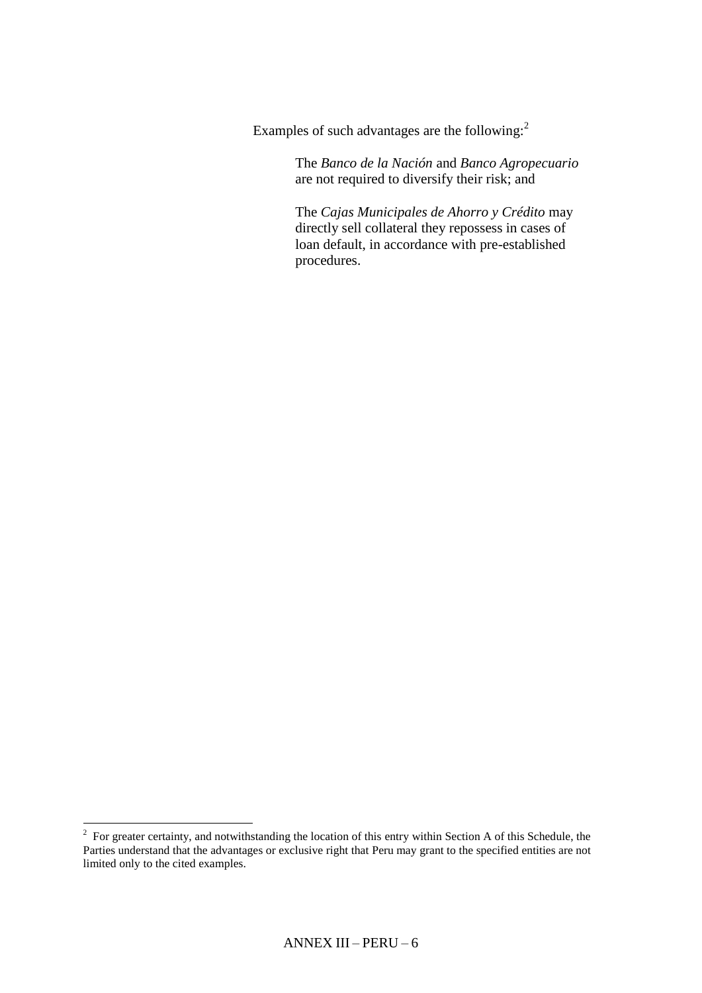Examples of such advantages are the following:<sup>2</sup>

The *Banco de la Nación* and *Banco Agropecuario* are not required to diversify their risk; and

The *Cajas Municipales de Ahorro y Crédito* may directly sell collateral they repossess in cases of loan default, in accordance with pre-established procedures.

<sup>&</sup>lt;sup>2</sup> For greater certainty, and notwithstanding the location of this entry within Section A of this Schedule, the Parties understand that the advantages or exclusive right that Peru may grant to the specified entities are not limited only to the cited examples.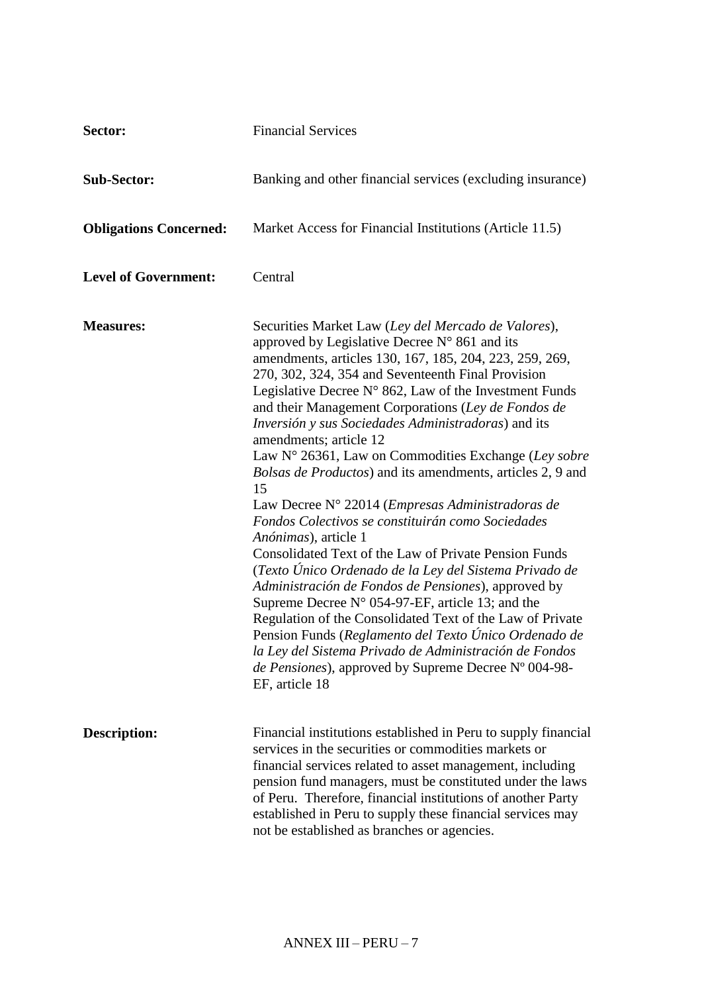| Sector:                       | <b>Financial Services</b>                                                                                                                                                                                                                                                                                                                                                                                                                                                                                                                                                                                                                                                                                                                                                                                                                                                                                                                                                                                                                                                                                                                                                                                       |
|-------------------------------|-----------------------------------------------------------------------------------------------------------------------------------------------------------------------------------------------------------------------------------------------------------------------------------------------------------------------------------------------------------------------------------------------------------------------------------------------------------------------------------------------------------------------------------------------------------------------------------------------------------------------------------------------------------------------------------------------------------------------------------------------------------------------------------------------------------------------------------------------------------------------------------------------------------------------------------------------------------------------------------------------------------------------------------------------------------------------------------------------------------------------------------------------------------------------------------------------------------------|
| <b>Sub-Sector:</b>            | Banking and other financial services (excluding insurance)                                                                                                                                                                                                                                                                                                                                                                                                                                                                                                                                                                                                                                                                                                                                                                                                                                                                                                                                                                                                                                                                                                                                                      |
| <b>Obligations Concerned:</b> | Market Access for Financial Institutions (Article 11.5)                                                                                                                                                                                                                                                                                                                                                                                                                                                                                                                                                                                                                                                                                                                                                                                                                                                                                                                                                                                                                                                                                                                                                         |
| <b>Level of Government:</b>   | Central                                                                                                                                                                                                                                                                                                                                                                                                                                                                                                                                                                                                                                                                                                                                                                                                                                                                                                                                                                                                                                                                                                                                                                                                         |
| <b>Measures:</b>              | Securities Market Law (Ley del Mercado de Valores),<br>approved by Legislative Decree $N^{\circ}$ 861 and its<br>amendments, articles 130, 167, 185, 204, 223, 259, 269,<br>270, 302, 324, 354 and Seventeenth Final Provision<br>Legislative Decree $N^{\circ}$ 862, Law of the Investment Funds<br>and their Management Corporations (Ley de Fondos de<br>Inversión y sus Sociedades Administradoras) and its<br>amendments; article 12<br>Law N° 26361, Law on Commodities Exchange (Ley sobre<br>Bolsas de Productos) and its amendments, articles 2, 9 and<br>15<br>Law Decree N° 22014 (Empresas Administradoras de<br>Fondos Colectivos se constituirán como Sociedades<br>Anónimas), article 1<br>Consolidated Text of the Law of Private Pension Funds<br>(Texto Único Ordenado de la Ley del Sistema Privado de<br>Administración de Fondos de Pensiones), approved by<br>Supreme Decree $N^{\circ}$ 054-97-EF, article 13; and the<br>Regulation of the Consolidated Text of the Law of Private<br>Pension Funds (Reglamento del Texto Único Ordenado de<br>la Ley del Sistema Privado de Administración de Fondos<br><i>de Pensiones</i> ), approved by Supreme Decree N° 004-98-<br>EF, article 18 |
| <b>Description:</b>           | Financial institutions established in Peru to supply financial<br>services in the securities or commodities markets or<br>financial services related to asset management, including<br>pension fund managers, must be constituted under the laws<br>of Peru. Therefore, financial institutions of another Party<br>established in Peru to supply these financial services may<br>not be established as branches or agencies.                                                                                                                                                                                                                                                                                                                                                                                                                                                                                                                                                                                                                                                                                                                                                                                    |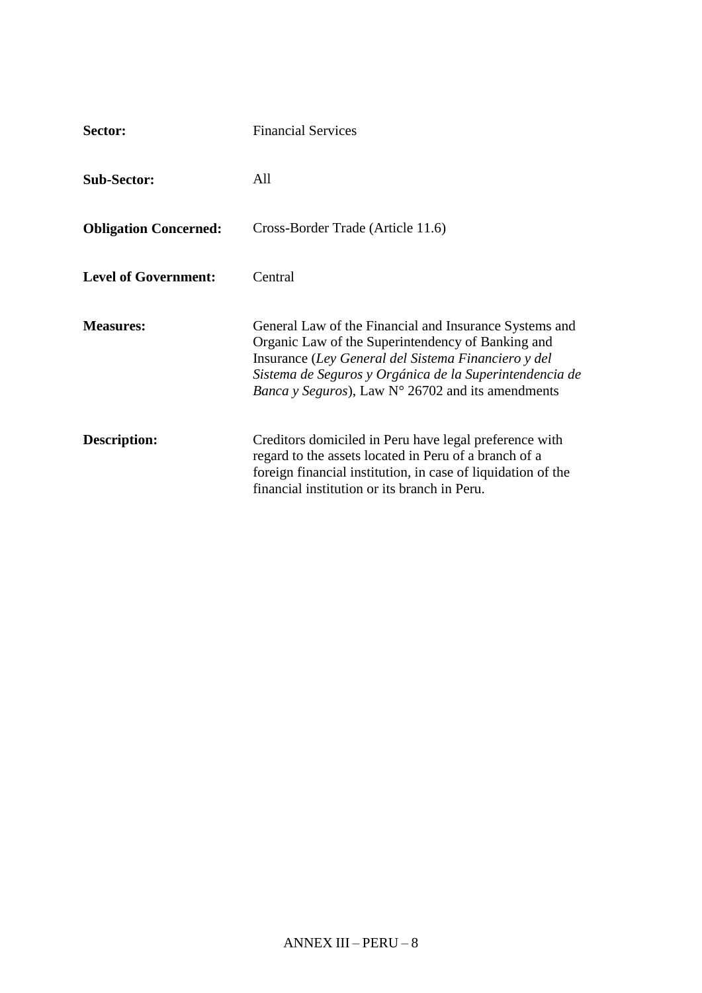| Sector:                      | <b>Financial Services</b>                                                                                                                                                                                                                                                                           |
|------------------------------|-----------------------------------------------------------------------------------------------------------------------------------------------------------------------------------------------------------------------------------------------------------------------------------------------------|
| <b>Sub-Sector:</b>           | All                                                                                                                                                                                                                                                                                                 |
| <b>Obligation Concerned:</b> | Cross-Border Trade (Article 11.6)                                                                                                                                                                                                                                                                   |
| <b>Level of Government:</b>  | Central                                                                                                                                                                                                                                                                                             |
| <b>Measures:</b>             | General Law of the Financial and Insurance Systems and<br>Organic Law of the Superintendency of Banking and<br>Insurance (Ley General del Sistema Financiero y del<br>Sistema de Seguros y Orgánica de la Superintendencia de<br><i>Banca y Seguros</i> ), Law $N^{\circ}$ 26702 and its amendments |
| Description:                 | Creditors domiciled in Peru have legal preference with<br>regard to the assets located in Peru of a branch of a<br>foreign financial institution, in case of liquidation of the<br>financial institution or its branch in Peru.                                                                     |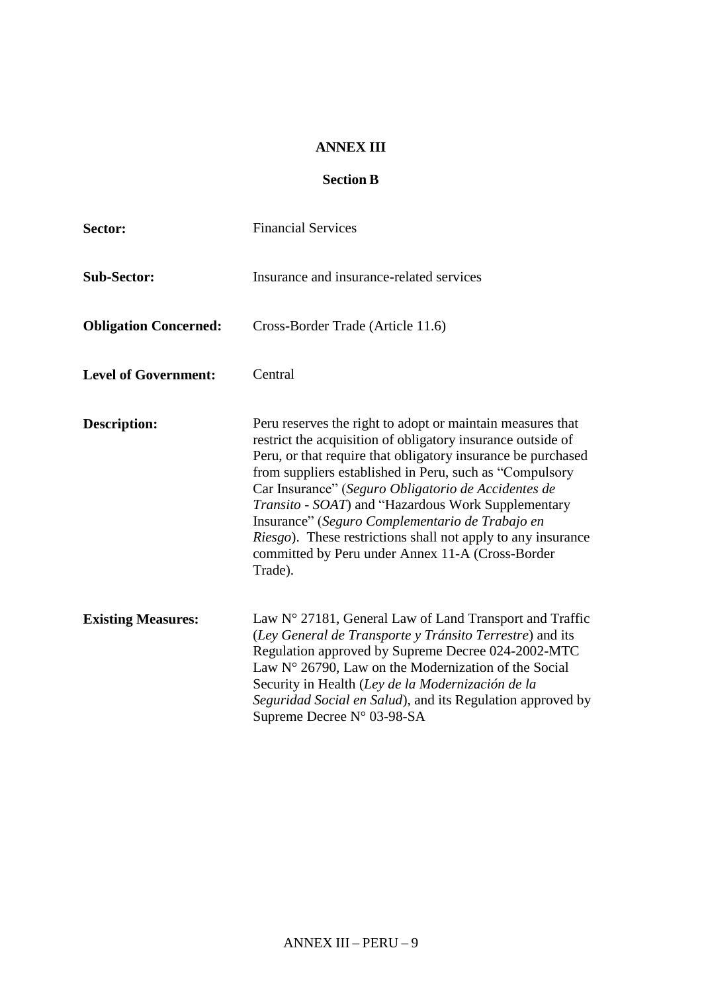### **ANNEX III**

# **Section B**

| Sector:                      | <b>Financial Services</b>                                                                                                                                                                                                                                                                                                                                                                                                                                                                                                                                           |
|------------------------------|---------------------------------------------------------------------------------------------------------------------------------------------------------------------------------------------------------------------------------------------------------------------------------------------------------------------------------------------------------------------------------------------------------------------------------------------------------------------------------------------------------------------------------------------------------------------|
| <b>Sub-Sector:</b>           | Insurance and insurance-related services                                                                                                                                                                                                                                                                                                                                                                                                                                                                                                                            |
| <b>Obligation Concerned:</b> | Cross-Border Trade (Article 11.6)                                                                                                                                                                                                                                                                                                                                                                                                                                                                                                                                   |
| <b>Level of Government:</b>  | Central                                                                                                                                                                                                                                                                                                                                                                                                                                                                                                                                                             |
| <b>Description:</b>          | Peru reserves the right to adopt or maintain measures that<br>restrict the acquisition of obligatory insurance outside of<br>Peru, or that require that obligatory insurance be purchased<br>from suppliers established in Peru, such as "Compulsory<br>Car Insurance" (Seguro Obligatorio de Accidentes de<br><i>Transito - SOAT</i> ) and "Hazardous Work Supplementary<br>Insurance" (Seguro Complementario de Trabajo en<br><i>Riesgo</i> ). These restrictions shall not apply to any insurance<br>committed by Peru under Annex 11-A (Cross-Border<br>Trade). |
| <b>Existing Measures:</b>    | Law $N^{\circ}$ 27181, General Law of Land Transport and Traffic<br>(Ley General de Transporte y Tránsito Terrestre) and its<br>Regulation approved by Supreme Decree 024-2002-MTC<br>Law $N^{\circ}$ 26790, Law on the Modernization of the Social<br>Security in Health (Ley de la Modernización de la<br>Seguridad Social en Salud), and its Regulation approved by<br>Supreme Decree N° 03-98-SA                                                                                                                                                                |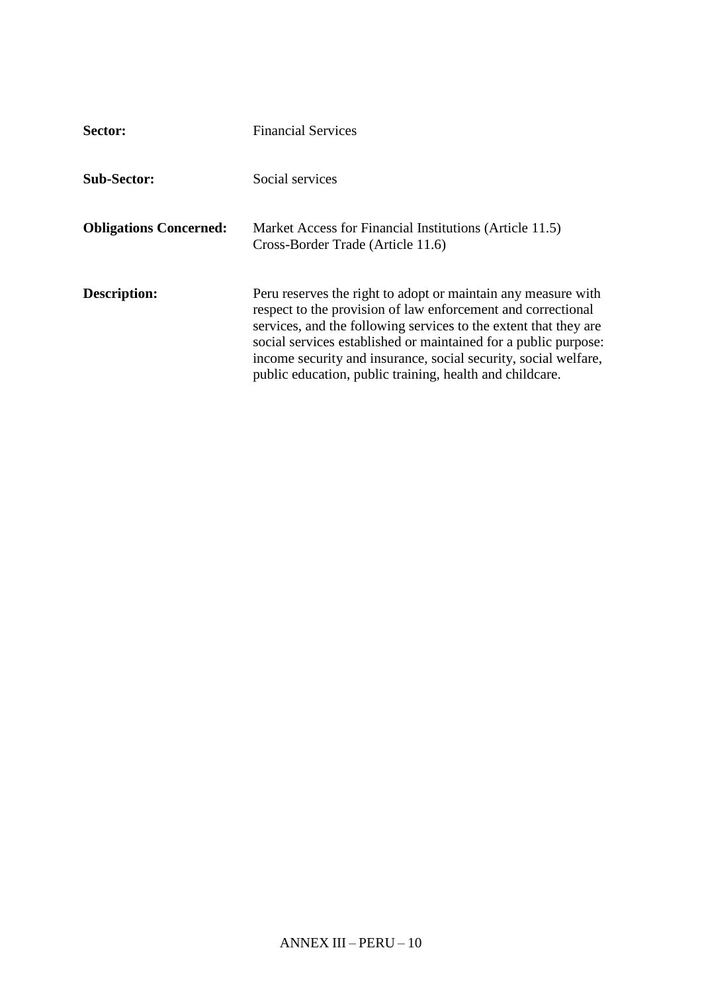| Sector:                       | <b>Financial Services</b>                                                                                                                                                                                                                                                                                                                                                                           |
|-------------------------------|-----------------------------------------------------------------------------------------------------------------------------------------------------------------------------------------------------------------------------------------------------------------------------------------------------------------------------------------------------------------------------------------------------|
| <b>Sub-Sector:</b>            | Social services                                                                                                                                                                                                                                                                                                                                                                                     |
| <b>Obligations Concerned:</b> | Market Access for Financial Institutions (Article 11.5)<br>Cross-Border Trade (Article 11.6)                                                                                                                                                                                                                                                                                                        |
| Description:                  | Peru reserves the right to adopt or maintain any measure with<br>respect to the provision of law enforcement and correctional<br>services, and the following services to the extent that they are<br>social services established or maintained for a public purpose:<br>income security and insurance, social security, social welfare,<br>public education, public training, health and childcare. |